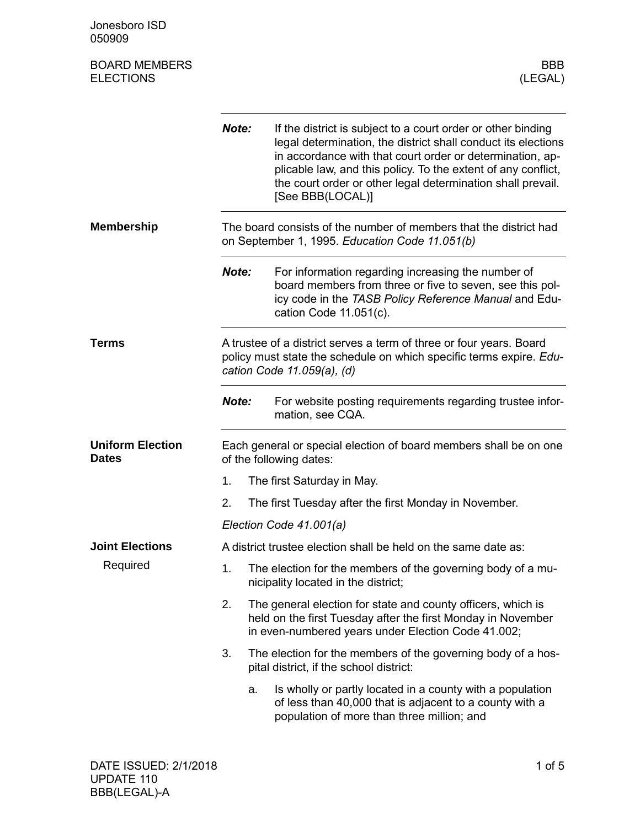Jonesboro ISD 050909

| <b>BOARD MEMBERS</b> | <b>BBB</b> |
|----------------------|------------|
| <b>ELECTIONS</b>     | (LEGAL)    |

|                                         | Note:                                                                                                                                                                    | If the district is subject to a court order or other binding<br>legal determination, the district shall conduct its elections<br>in accordance with that court order or determination, ap-<br>plicable law, and this policy. To the extent of any conflict,<br>the court order or other legal determination shall prevail.<br>[See BBB(LOCAL)] |  |
|-----------------------------------------|--------------------------------------------------------------------------------------------------------------------------------------------------------------------------|------------------------------------------------------------------------------------------------------------------------------------------------------------------------------------------------------------------------------------------------------------------------------------------------------------------------------------------------|--|
| <b>Membership</b>                       |                                                                                                                                                                          | The board consists of the number of members that the district had<br>on September 1, 1995. Education Code 11.051(b)                                                                                                                                                                                                                            |  |
|                                         | Note:                                                                                                                                                                    | For information regarding increasing the number of<br>board members from three or five to seven, see this pol-<br>icy code in the TASB Policy Reference Manual and Edu-<br>cation Code $11.051(c)$ .                                                                                                                                           |  |
| Terms                                   | A trustee of a district serves a term of three or four years. Board<br>policy must state the schedule on which specific terms expire. Edu-<br>cation Code 11.059(a), (d) |                                                                                                                                                                                                                                                                                                                                                |  |
|                                         | Note:                                                                                                                                                                    | For website posting requirements regarding trustee infor-<br>mation, see CQA.                                                                                                                                                                                                                                                                  |  |
| <b>Uniform Election</b><br><b>Dates</b> | Each general or special election of board members shall be on one<br>of the following dates:                                                                             |                                                                                                                                                                                                                                                                                                                                                |  |
|                                         | 1.                                                                                                                                                                       | The first Saturday in May.                                                                                                                                                                                                                                                                                                                     |  |
|                                         | 2.                                                                                                                                                                       | The first Tuesday after the first Monday in November.                                                                                                                                                                                                                                                                                          |  |
|                                         |                                                                                                                                                                          | Election Code 41.001(a)                                                                                                                                                                                                                                                                                                                        |  |
| <b>Joint Elections</b>                  |                                                                                                                                                                          | A district trustee election shall be held on the same date as:                                                                                                                                                                                                                                                                                 |  |
| Required                                | 1.                                                                                                                                                                       | The election for the members of the governing body of a mu-<br>nicipality located in the district;                                                                                                                                                                                                                                             |  |
|                                         | 2.                                                                                                                                                                       | The general election for state and county officers, which is<br>held on the first Tuesday after the first Monday in November<br>in even-numbered years under Election Code 41.002;                                                                                                                                                             |  |
|                                         | 3.                                                                                                                                                                       | The election for the members of the governing body of a hos-<br>pital district, if the school district:                                                                                                                                                                                                                                        |  |
|                                         | a.                                                                                                                                                                       | Is wholly or partly located in a county with a population<br>of less than 40,000 that is adjacent to a county with a<br>population of more than three million; and                                                                                                                                                                             |  |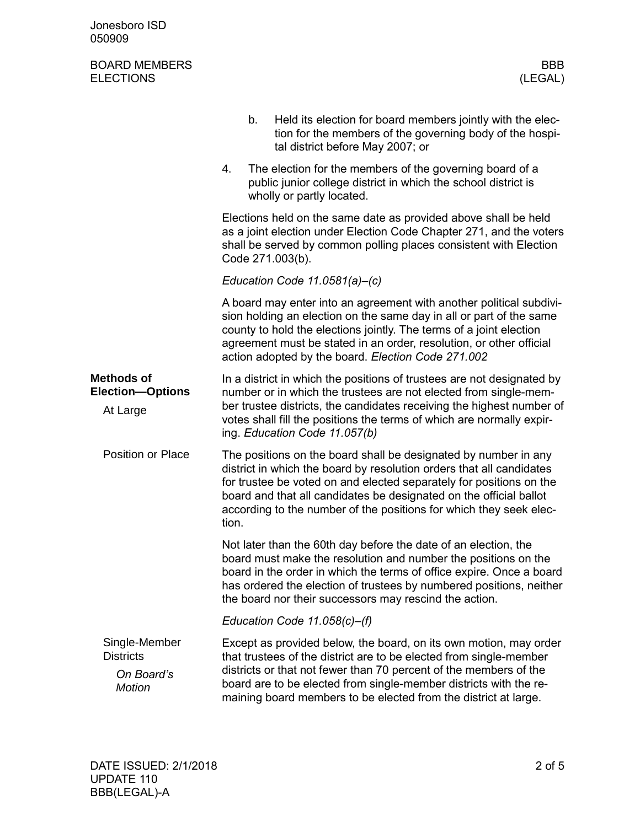| Jonesboro ISD<br>050909                                          |                                                                                                                                                                                                                                                                                                                                                                     |
|------------------------------------------------------------------|---------------------------------------------------------------------------------------------------------------------------------------------------------------------------------------------------------------------------------------------------------------------------------------------------------------------------------------------------------------------|
| <b>BOARD MEMBERS</b><br><b>ELECTIONS</b>                         | <b>BBB</b><br>(LEGAL)                                                                                                                                                                                                                                                                                                                                               |
|                                                                  | Held its election for board members jointly with the elec-<br>b.<br>tion for the members of the governing body of the hospi-<br>tal district before May 2007; or                                                                                                                                                                                                    |
|                                                                  | The election for the members of the governing board of a<br>4.<br>public junior college district in which the school district is<br>wholly or partly located.                                                                                                                                                                                                       |
|                                                                  | Elections held on the same date as provided above shall be held<br>as a joint election under Election Code Chapter 271, and the voters<br>shall be served by common polling places consistent with Election<br>Code 271.003(b).                                                                                                                                     |
|                                                                  | Education Code $11.0581(a)$ –(c)                                                                                                                                                                                                                                                                                                                                    |
|                                                                  | A board may enter into an agreement with another political subdivi-<br>sion holding an election on the same day in all or part of the same<br>county to hold the elections jointly. The terms of a joint election<br>agreement must be stated in an order, resolution, or other official<br>action adopted by the board. Election Code 271.002                      |
| <b>Methods of</b><br><b>Election-Options</b><br>At Large         | In a district in which the positions of trustees are not designated by<br>number or in which the trustees are not elected from single-mem-<br>ber trustee districts, the candidates receiving the highest number of<br>votes shall fill the positions the terms of which are normally expir-<br>ing. Education Code 11.057(b)                                       |
| Position or Place                                                | The positions on the board shall be designated by number in any<br>district in which the board by resolution orders that all candidates<br>for trustee be voted on and elected separately for positions on the<br>board and that all candidates be designated on the official ballot<br>according to the number of the positions for which they seek elec-<br>tion. |
|                                                                  | Not later than the 60th day before the date of an election, the<br>board must make the resolution and number the positions on the<br>board in the order in which the terms of office expire. Once a board<br>has ordered the election of trustees by numbered positions, neither<br>the board nor their successors may rescind the action.                          |
|                                                                  | Education Code $11.058(c)$ –(f)                                                                                                                                                                                                                                                                                                                                     |
| Single-Member<br><b>Districts</b><br>On Board's<br><b>Motion</b> | Except as provided below, the board, on its own motion, may order<br>that trustees of the district are to be elected from single-member<br>districts or that not fewer than 70 percent of the members of the<br>board are to be elected from single-member districts with the re-<br>maining board members to be elected from the district at large.                |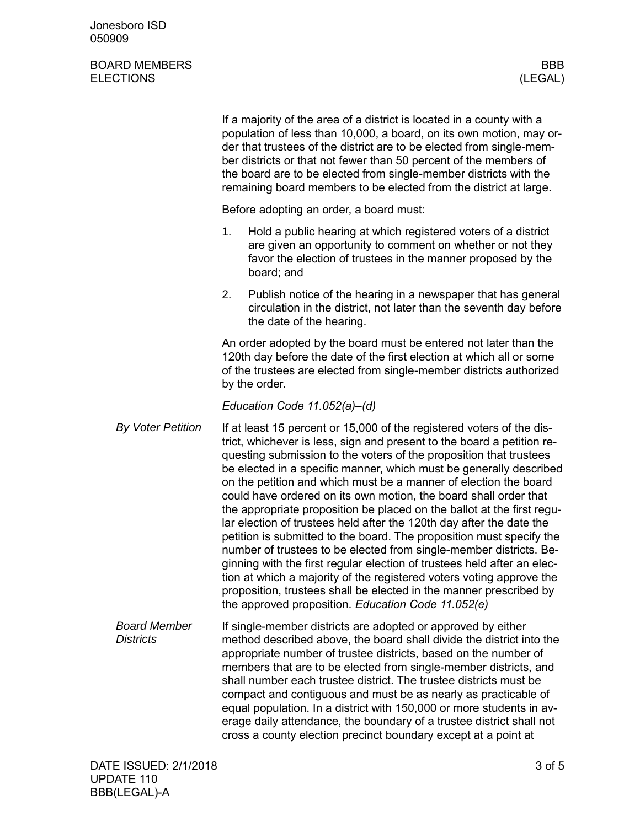Jonesboro ISD 050909

## BOARD MEMBERS BOARD MEMBERS (LEGAL) **ELECTIONS**

|  |                                         | If a majority of the area of a district is located in a county with a<br>population of less than 10,000, a board, on its own motion, may or-<br>der that trustees of the district are to be elected from single-mem-<br>ber districts or that not fewer than 50 percent of the members of<br>the board are to be elected from single-member districts with the<br>remaining board members to be elected from the district at large. |                                                                                                                                                                                                                                                                                                                                                                                                                                                                                                                                                                                                                                                                                                                                                                                                                                                                                                                                                                                                                    |  |
|--|-----------------------------------------|-------------------------------------------------------------------------------------------------------------------------------------------------------------------------------------------------------------------------------------------------------------------------------------------------------------------------------------------------------------------------------------------------------------------------------------|--------------------------------------------------------------------------------------------------------------------------------------------------------------------------------------------------------------------------------------------------------------------------------------------------------------------------------------------------------------------------------------------------------------------------------------------------------------------------------------------------------------------------------------------------------------------------------------------------------------------------------------------------------------------------------------------------------------------------------------------------------------------------------------------------------------------------------------------------------------------------------------------------------------------------------------------------------------------------------------------------------------------|--|
|  |                                         | Before adopting an order, a board must:                                                                                                                                                                                                                                                                                                                                                                                             |                                                                                                                                                                                                                                                                                                                                                                                                                                                                                                                                                                                                                                                                                                                                                                                                                                                                                                                                                                                                                    |  |
|  |                                         | 1.                                                                                                                                                                                                                                                                                                                                                                                                                                  | Hold a public hearing at which registered voters of a district<br>are given an opportunity to comment on whether or not they<br>favor the election of trustees in the manner proposed by the<br>board; and                                                                                                                                                                                                                                                                                                                                                                                                                                                                                                                                                                                                                                                                                                                                                                                                         |  |
|  |                                         | 2.                                                                                                                                                                                                                                                                                                                                                                                                                                  | Publish notice of the hearing in a newspaper that has general<br>circulation in the district, not later than the seventh day before<br>the date of the hearing.                                                                                                                                                                                                                                                                                                                                                                                                                                                                                                                                                                                                                                                                                                                                                                                                                                                    |  |
|  |                                         |                                                                                                                                                                                                                                                                                                                                                                                                                                     | An order adopted by the board must be entered not later than the<br>120th day before the date of the first election at which all or some<br>of the trustees are elected from single-member districts authorized<br>by the order.                                                                                                                                                                                                                                                                                                                                                                                                                                                                                                                                                                                                                                                                                                                                                                                   |  |
|  |                                         |                                                                                                                                                                                                                                                                                                                                                                                                                                     | Education Code 11.052(a)-(d)                                                                                                                                                                                                                                                                                                                                                                                                                                                                                                                                                                                                                                                                                                                                                                                                                                                                                                                                                                                       |  |
|  | <b>By Voter Petition</b>                |                                                                                                                                                                                                                                                                                                                                                                                                                                     | If at least 15 percent or 15,000 of the registered voters of the dis-<br>trict, whichever is less, sign and present to the board a petition re-<br>questing submission to the voters of the proposition that trustees<br>be elected in a specific manner, which must be generally described<br>on the petition and which must be a manner of election the board<br>could have ordered on its own motion, the board shall order that<br>the appropriate proposition be placed on the ballot at the first regu-<br>lar election of trustees held after the 120th day after the date the<br>petition is submitted to the board. The proposition must specify the<br>number of trustees to be elected from single-member districts. Be-<br>ginning with the first regular election of trustees held after an elec-<br>tion at which a majority of the registered voters voting approve the<br>proposition, trustees shall be elected in the manner prescribed by<br>the approved proposition. Education Code 11.052(e) |  |
|  | <b>Board Member</b><br><b>Districts</b> |                                                                                                                                                                                                                                                                                                                                                                                                                                     | If single-member districts are adopted or approved by either<br>method described above, the board shall divide the district into the<br>appropriate number of trustee districts, based on the number of<br>members that are to be elected from single-member districts, and<br>shall number each trustee district. The trustee districts must be<br>compact and contiguous and must be as nearly as practicable of<br>equal population. In a district with 150,000 or more students in av-<br>erage daily attendance, the boundary of a trustee district shall not<br>cross a county election precinct boundary except at a point at                                                                                                                                                                                                                                                                                                                                                                               |  |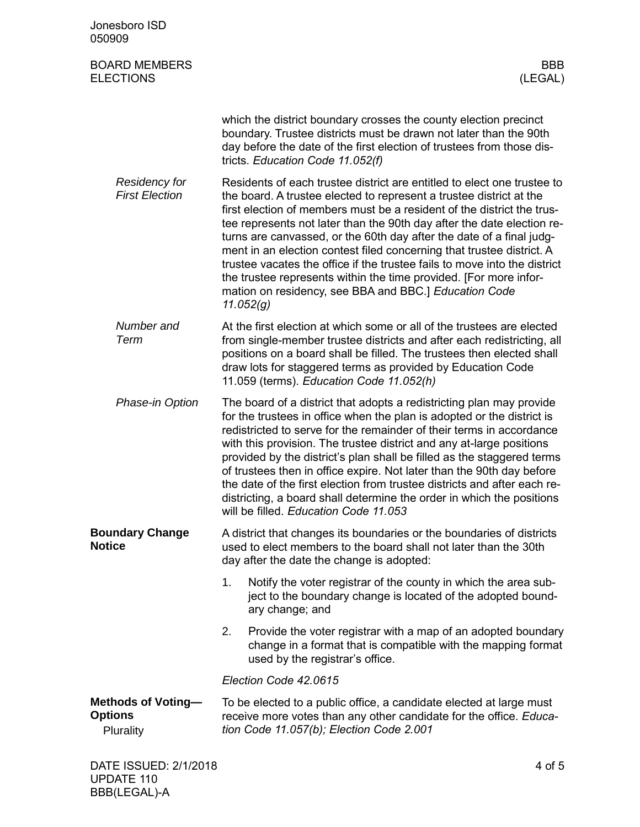| Jonesboro ISD<br>050909                                  |                                                                                                                                                                                                                                                                                                                                                                                                                                                                                                                                                                                                                                                                             |
|----------------------------------------------------------|-----------------------------------------------------------------------------------------------------------------------------------------------------------------------------------------------------------------------------------------------------------------------------------------------------------------------------------------------------------------------------------------------------------------------------------------------------------------------------------------------------------------------------------------------------------------------------------------------------------------------------------------------------------------------------|
| <b>BOARD MEMBERS</b><br><b>ELECTIONS</b>                 | <b>BBB</b><br>(LEGAL)                                                                                                                                                                                                                                                                                                                                                                                                                                                                                                                                                                                                                                                       |
|                                                          | which the district boundary crosses the county election precinct<br>boundary. Trustee districts must be drawn not later than the 90th<br>day before the date of the first election of trustees from those dis-<br>tricts. Education Code 11.052(f)                                                                                                                                                                                                                                                                                                                                                                                                                          |
| <b>Residency for</b><br><b>First Election</b>            | Residents of each trustee district are entitled to elect one trustee to<br>the board. A trustee elected to represent a trustee district at the<br>first election of members must be a resident of the district the trus-<br>tee represents not later than the 90th day after the date election re-<br>turns are canvassed, or the 60th day after the date of a final judg-<br>ment in an election contest filed concerning that trustee district. A<br>trustee vacates the office if the trustee fails to move into the district<br>the trustee represents within the time provided. [For more infor-<br>mation on residency, see BBA and BBC.] Education Code<br>11.052(g) |
| Number and<br>Term                                       | At the first election at which some or all of the trustees are elected<br>from single-member trustee districts and after each redistricting, all<br>positions on a board shall be filled. The trustees then elected shall<br>draw lots for staggered terms as provided by Education Code<br>11.059 (terms). Education Code 11.052(h)                                                                                                                                                                                                                                                                                                                                        |
| Phase-in Option                                          | The board of a district that adopts a redistricting plan may provide<br>for the trustees in office when the plan is adopted or the district is<br>redistricted to serve for the remainder of their terms in accordance<br>with this provision. The trustee district and any at-large positions<br>provided by the district's plan shall be filled as the staggered terms<br>of trustees then in office expire. Not later than the 90th day before<br>the date of the first election from trustee districts and after each re-<br>districting, a board shall determine the order in which the positions<br>will be filled. Education Code 11.053                             |
| <b>Boundary Change</b><br><b>Notice</b>                  | A district that changes its boundaries or the boundaries of districts<br>used to elect members to the board shall not later than the 30th<br>day after the date the change is adopted:                                                                                                                                                                                                                                                                                                                                                                                                                                                                                      |
|                                                          | 1.<br>Notify the voter registrar of the county in which the area sub-<br>ject to the boundary change is located of the adopted bound-<br>ary change; and                                                                                                                                                                                                                                                                                                                                                                                                                                                                                                                    |
|                                                          | 2.<br>Provide the voter registrar with a map of an adopted boundary<br>change in a format that is compatible with the mapping format<br>used by the registrar's office.                                                                                                                                                                                                                                                                                                                                                                                                                                                                                                     |
|                                                          | Election Code 42.0615                                                                                                                                                                                                                                                                                                                                                                                                                                                                                                                                                                                                                                                       |
| <b>Methods of Voting-</b><br><b>Options</b><br>Plurality | To be elected to a public office, a candidate elected at large must<br>receive more votes than any other candidate for the office. Educa-<br>tion Code 11.057(b); Election Code 2.001                                                                                                                                                                                                                                                                                                                                                                                                                                                                                       |